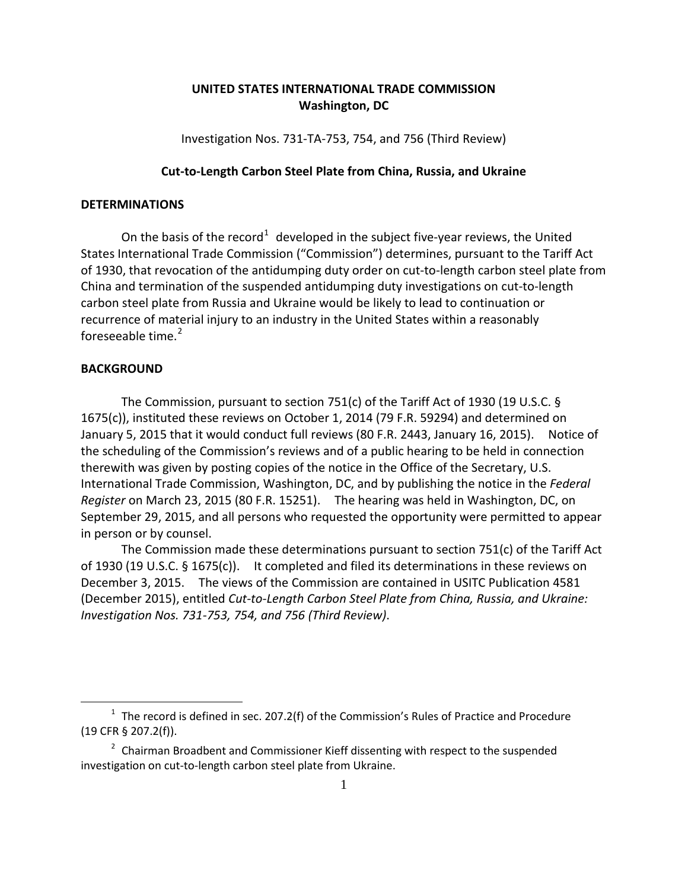## **UNITED STATES INTERNATIONAL TRADE COMMISSION Washington, DC**

Investigation Nos. 731-TA-753, 754, and 756 (Third Review)

## **Cut-to-Length Carbon Steel Plate from China, Russia, and Ukraine**

## **DETERMINATIONS**

On the basis of the record<sup>[1](#page-0-0)</sup> developed in the subject five-year reviews, the United States International Trade Commission ("Commission") determines, pursuant to the Tariff Act of 1930, that revocation of the antidumping duty order on cut-to-length carbon steel plate from China and termination of the suspended antidumping duty investigations on cut-to-length carbon steel plate from Russia and Ukraine would be likely to lead to continuation or recurrence of material injury to an industry in the United States within a reasonably foreseeable time. $2$ 

## **BACKGROUND**

 $\overline{a}$ 

The Commission, pursuant to section 751(c) of the Tariff Act of 1930 (19 U.S.C. § 1675(c)), instituted these reviews on October 1, 2014 (79 F.R. 59294) and determined on January 5, 2015 that it would conduct full reviews (80 F.R. 2443, January 16, 2015). Notice of the scheduling of the Commission's reviews and of a public hearing to be held in connection therewith was given by posting copies of the notice in the Office of the Secretary, U.S. International Trade Commission, Washington, DC, and by publishing the notice in the *Federal Register* on March 23, 2015 (80 F.R. 15251). The hearing was held in Washington, DC, on September 29, 2015, and all persons who requested the opportunity were permitted to appear in person or by counsel.

The Commission made these determinations pursuant to section 751(c) of the Tariff Act of 1930 (19 U.S.C. § 1675(c)). It completed and filed its determinations in these reviews on December 3, 2015. The views of the Commission are contained in USITC Publication 4581 (December 2015), entitled *Cut-to-Length Carbon Steel Plate from China, Russia, and Ukraine: Investigation Nos. 731-753, 754, and 756 (Third Review)*.

<span id="page-0-0"></span> $1$  The record is defined in sec. 207.2(f) of the Commission's Rules of Practice and Procedure (19 CFR § 207.2(f)).

<span id="page-0-1"></span> $<sup>2</sup>$  Chairman Broadbent and Commissioner Kieff dissenting with respect to the suspended</sup> investigation on cut-to-length carbon steel plate from Ukraine.